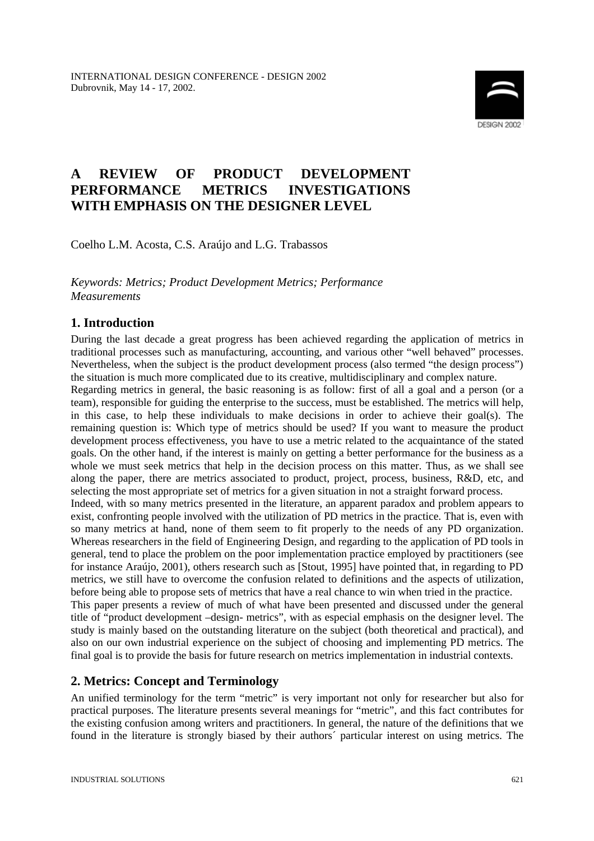

# **A REVIEW OF PRODUCT DEVELOPMENT PERFORMANCE METRICS INVESTIGATIONS WITH EMPHASIS ON THE DESIGNER LEVEL**

Coelho L.M. Acosta, C.S. Araújo and L.G. Trabassos

*Keywords: Metrics; Product Development Metrics; Performance Measurements*

### **1. Introduction**

During the last decade a great progress has been achieved regarding the application of metrics in traditional processes such as manufacturing, accounting, and various other "well behaved" processes. Nevertheless, when the subject is the product development process (also termed "the design process") the situation is much more complicated due to its creative, multidisciplinary and complex nature.

Regarding metrics in general, the basic reasoning is as follow: first of all a goal and a person (or a team), responsible for guiding the enterprise to the success, must be established. The metrics will help, in this case, to help these individuals to make decisions in order to achieve their goal(s). The remaining question is: Which type of metrics should be used? If you want to measure the product development process effectiveness, you have to use a metric related to the acquaintance of the stated goals. On the other hand, if the interest is mainly on getting a better performance for the business as a whole we must seek metrics that help in the decision process on this matter. Thus, as we shall see along the paper, there are metrics associated to product, project, process, business, R&D, etc, and selecting the most appropriate set of metrics for a given situation in not a straight forward process. Indeed, with so many metrics presented in the literature, an apparent paradox and problem appears to exist, confronting people involved with the utilization of PD metrics in the practice. That is, even with so many metrics at hand, none of them seem to fit properly to the needs of any PD organization. Whereas researchers in the field of Engineering Design, and regarding to the application of PD tools in general, tend to place the problem on the poor implementation practice employed by practitioners (see for instance Araújo, 2001), others research such as [Stout, 1995] have pointed that, in regarding to PD metrics, we still have to overcome the confusion related to definitions and the aspects of utilization, before being able to propose sets of metrics that have a real chance to win when tried in the practice. This paper presents a review of much of what have been presented and discussed under the general

title of "product development –design- metrics", with as especial emphasis on the designer level. The study is mainly based on the outstanding literature on the subject (both theoretical and practical), and also on our own industrial experience on the subject of choosing and implementing PD metrics. The final goal is to provide the basis for future research on metrics implementation in industrial contexts.

## **2. Metrics: Concept and Terminology**

An unified terminology for the term "metric" is very important not only for researcher but also for practical purposes. The literature presents several meanings for "metric", and this fact contributes for the existing confusion among writers and practitioners. In general, the nature of the definitions that we found in the literature is strongly biased by their authors´ particular interest on using metrics. The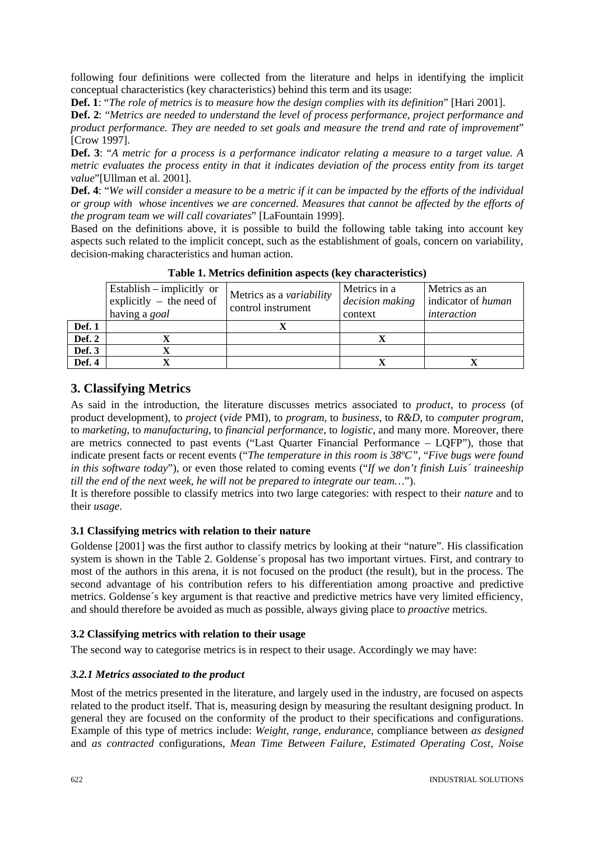following four definitions were collected from the literature and helps in identifying the implicit conceptual characteristics (key characteristics) behind this term and its usage:

**Def. 1**: "*The role of metrics is to measure how the design complies with its definition*" [Hari 2001].

**Def. 2**: "*Metrics are needed to understand the level of process performance, project performance and product performance. They are needed to set goals and measure the trend and rate of improvement*" [Crow 1997].

**Def. 3**: "*A metric for a process is a performance indicator relating a measure to a target value. A metric evaluates the process entity in that it indicates deviation of the process entity from its target value*"[Ullman et al. 2001].

**Def. 4**: "*We will consider a measure to be a metric if it can be impacted by the efforts of the individual or group with whose incentives we are concerned. Measures that cannot be affected by the efforts of the program team we will call covariates*" [LaFountain 1999].

Based on the definitions above, it is possible to build the following table taking into account key aspects such related to the implicit concept, such as the establishment of goals, concern on variability, decision-making characteristics and human action.

|               | Establish – implicitly or<br>explicitly $-$ the need of<br>having a goal | Metrics as a <i>variability</i><br>control instrument | Metrics in a<br>decision making<br>context | Metrics as an<br>indicator of human<br>interaction |
|---------------|--------------------------------------------------------------------------|-------------------------------------------------------|--------------------------------------------|----------------------------------------------------|
| Def. 1        |                                                                          |                                                       |                                            |                                                    |
| <b>Def. 2</b> |                                                                          |                                                       |                                            |                                                    |
| Def. 3        |                                                                          |                                                       |                                            |                                                    |
| Def. 4        |                                                                          |                                                       |                                            |                                                    |

**Table 1. Metrics definition aspects (key characteristics)**

### **3. Classifying Metrics**

As said in the introduction, the literature discusses metrics associated to *product*, to *process* (of product development), to *project* (*vide* PMI), to *program*, to *business*, to *R&D*, to *computer program*, to *marketing*, to *manufacturing*, to *financial performance*, to *logistic*, and many more. Moreover, there are metrics connected to past events ("Last Quarter Financial Performance – LQFP"), those that indicate present facts or recent events ("*The temperature in this room is 38ºC",* "*Five bugs were found in this software today*"), or even those related to coming events ("*If we don't finish Luis´ traineeship till the end of the next week, he will not be prepared to integrate our team…*").

It is therefore possible to classify metrics into two large categories: with respect to their *nature* and to their *usage*.

### **3.1 Classifying metrics with relation to their nature**

Goldense [2001] was the first author to classify metrics by looking at their "nature". His classification system is shown in the Table 2. Goldense´s proposal has two important virtues. First, and contrary to most of the authors in this arena, it is not focused on the product (the result), but in the process. The second advantage of his contribution refers to his differentiation among proactive and predictive metrics. Goldense´s key argument is that reactive and predictive metrics have very limited efficiency, and should therefore be avoided as much as possible, always giving place to *proactive* metrics.

### **3.2 Classifying metrics with relation to their usage**

The second way to categorise metrics is in respect to their usage. Accordingly we may have:

### *3.2.1 Metrics associated to the product*

Most of the metrics presented in the literature, and largely used in the industry, are focused on aspects related to the product itself. That is, measuring design by measuring the resultant designing product. In general they are focused on the conformity of the product to their specifications and configurations. Example of this type of metrics include: *Weight*, *range*, *endurance*, compliance between *as designed* and *as contracted* configurations, *Mean Time Between Failure*, *Estimated Operating Cost*, *Noise*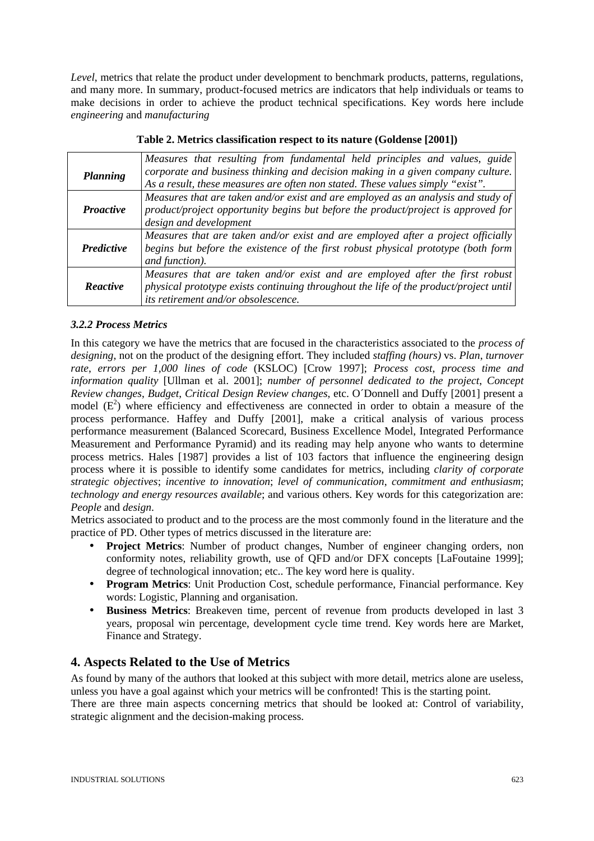*Level*, metrics that relate the product under development to benchmark products, patterns, regulations, and many more. In summary, product-focused metrics are indicators that help individuals or teams to make decisions in order to achieve the product technical specifications. Key words here include *engineering* and *manufacturing*

|                   | Measures that resulting from fundamental held principles and values, guide            |
|-------------------|---------------------------------------------------------------------------------------|
| Planning          | corporate and business thinking and decision making in a given company culture.       |
|                   | As a result, these measures are often non stated. These values simply "exist".        |
|                   | Measures that are taken and/or exist and are employed as an analysis and study of     |
| <b>Proactive</b>  | product/project opportunity begins but before the product/project is approved for     |
|                   | design and development                                                                |
|                   | Measures that are taken and/or exist and are employed after a project officially      |
| <b>Predictive</b> | begins but before the existence of the first robust physical prototype (both form     |
|                   | and function).                                                                        |
|                   | Measures that are taken and/or exist and are employed after the first robust          |
| <b>Reactive</b>   | physical prototype exists continuing throughout the life of the product/project until |
|                   | its retirement and/or obsolescence.                                                   |

| Table 2. Metrics classification respect to its nature (Goldense [2001]) |  |  |
|-------------------------------------------------------------------------|--|--|
|-------------------------------------------------------------------------|--|--|

#### *3.2.2 Process Metrics*

In this category we have the metrics that are focused in the characteristics associated to the *process of designing*, not on the product of the designing effort. They included *staffing (hours)* vs. *Plan*, *turnover rate*, *errors per 1,000 lines of code* (KSLOC) [Crow 1997]; *Process cost*, *process time and information quality* [Ullman et al. 2001]; *number of personnel dedicated to the project*, *Concept Review changes*, *Budget*, *Critical Design Review changes*, etc. O´Donnell and Duffy [2001] present a model  $(E^2)$  where efficiency and effectiveness are connected in order to obtain a measure of the process performance. Haffey and Duffy [2001], make a critical analysis of various process performance measurement (Balanced Scorecard, Business Excellence Model, Integrated Performance Measurement and Performance Pyramid) and its reading may help anyone who wants to determine process metrics. Hales [1987] provides a list of 103 factors that influence the engineering design process where it is possible to identify some candidates for metrics, including *clarity of corporate strategic objectives*; *incentive to innovation*; *level of communication*, *commitment and enthusiasm*; *technology and energy resources available*; and various others. Key words for this categorization are: *People* and *design*.

Metrics associated to product and to the process are the most commonly found in the literature and the practice of PD. Other types of metrics discussed in the literature are:

- **Project Metrics**: Number of product changes, Number of engineer changing orders, non conformity notes, reliability growth, use of QFD and/or DFX concepts [LaFoutaine 1999]; degree of technological innovation; etc.. The key word here is quality.
- **Program Metrics**: Unit Production Cost, schedule performance, Financial performance. Key words: Logistic, Planning and organisation.
- **Business Metrics**: Breakeven time, percent of revenue from products developed in last 3 years, proposal win percentage, development cycle time trend. Key words here are Market, Finance and Strategy.

### **4. Aspects Related to the Use of Metrics**

As found by many of the authors that looked at this subject with more detail, metrics alone are useless, unless you have a goal against which your metrics will be confronted! This is the starting point. There are three main aspects concerning metrics that should be looked at: Control of variability, strategic alignment and the decision-making process.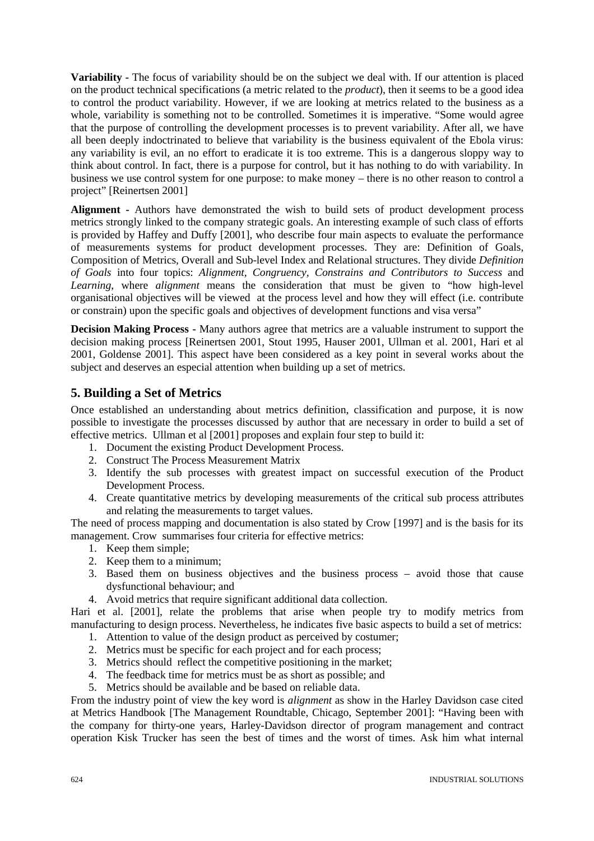**Variability -** The focus of variability should be on the subject we deal with. If our attention is placed on the product technical specifications (a metric related to the *product*), then it seems to be a good idea to control the product variability. However, if we are looking at metrics related to the business as a whole, variability is something not to be controlled. Sometimes it is imperative. "Some would agree that the purpose of controlling the development processes is to prevent variability. After all, we have all been deeply indoctrinated to believe that variability is the business equivalent of the Ebola virus: any variability is evil, an no effort to eradicate it is too extreme. This is a dangerous sloppy way to think about control. In fact, there is a purpose for control, but it has nothing to do with variability. In business we use control system for one purpose: to make money – there is no other reason to control a project" [Reinertsen 2001]

**Alignment -** Authors have demonstrated the wish to build sets of product development process metrics strongly linked to the company strategic goals. An interesting example of such class of efforts is provided by Haffey and Duffy [2001], who describe four main aspects to evaluate the performance of measurements systems for product development processes. They are: Definition of Goals, Composition of Metrics, Overall and Sub-level Index and Relational structures. They divide *Definition of Goals* into four topics: *Alignment, Congruency, Constrains and Contributors to Success* and *Learning*, where *alignment* means the consideration that must be given to "how high-level organisational objectives will be viewed at the process level and how they will effect (i.e. contribute or constrain) upon the specific goals and objectives of development functions and visa versa"

**Decision Making Process -** Many authors agree that metrics are a valuable instrument to support the decision making process [Reinertsen 2001, Stout 1995, Hauser 2001, Ullman et al. 2001, Hari et al 2001, Goldense 2001]. This aspect have been considered as a key point in several works about the subject and deserves an especial attention when building up a set of metrics.

### **5. Building a Set of Metrics**

Once established an understanding about metrics definition, classification and purpose, it is now possible to investigate the processes discussed by author that are necessary in order to build a set of effective metrics. Ullman et al [2001] proposes and explain four step to build it:

- 1. Document the existing Product Development Process.
- 2. Construct The Process Measurement Matrix
- 3. Identify the sub processes with greatest impact on successful execution of the Product Development Process.
- 4. Create quantitative metrics by developing measurements of the critical sub process attributes and relating the measurements to target values.

The need of process mapping and documentation is also stated by Crow [1997] and is the basis for its management. Crow summarises four criteria for effective metrics:

- 1. Keep them simple;
- 2. Keep them to a minimum;
- 3. Based them on business objectives and the business process avoid those that cause dysfunctional behaviour; and
- 4. Avoid metrics that require significant additional data collection.

Hari et al. [2001], relate the problems that arise when people try to modify metrics from manufacturing to design process. Nevertheless, he indicates five basic aspects to build a set of metrics:

- 1. Attention to value of the design product as perceived by costumer;
- 2. Metrics must be specific for each project and for each process;
- 3. Metrics should reflect the competitive positioning in the market;
- 4. The feedback time for metrics must be as short as possible; and
- 5. Metrics should be available and be based on reliable data.

From the industry point of view the key word is *alignment* as show in the Harley Davidson case cited at Metrics Handbook [The Management Roundtable, Chicago, September 2001]: "Having been with the company for thirty-one years, Harley-Davidson director of program management and contract operation Kisk Trucker has seen the best of times and the worst of times. Ask him what internal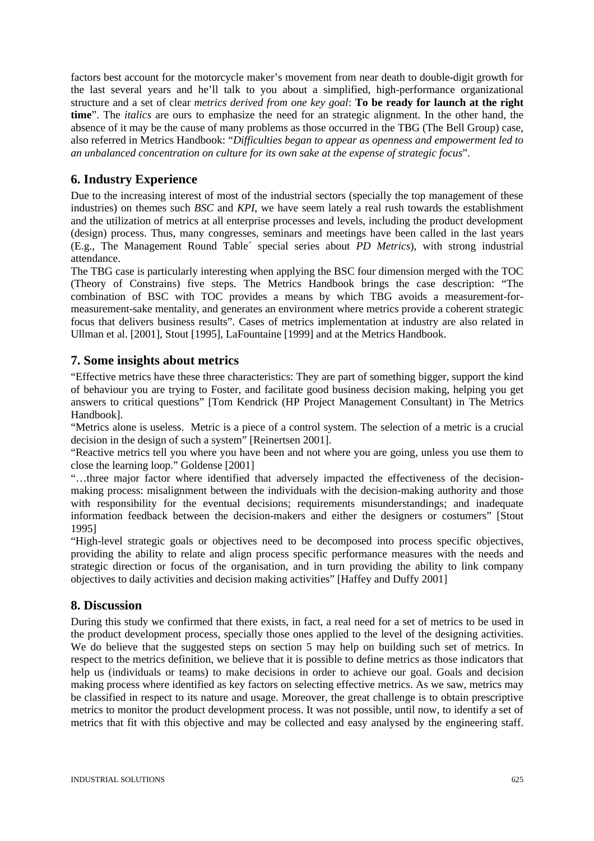factors best account for the motorcycle maker's movement from near death to double-digit growth for the last several years and he'll talk to you about a simplified, high-performance organizational structure and a set of clear *metrics derived from one key goal*: **To be ready for launch at the right time**". The *italics* are ours to emphasize the need for an strategic alignment. In the other hand, the absence of it may be the cause of many problems as those occurred in the TBG (The Bell Group) case, also referred in Metrics Handbook: "*Difficulties began to appear as openness and empowerment led to an unbalanced concentration on culture for its own sake at the expense of strategic focus*".

### **6. Industry Experience**

Due to the increasing interest of most of the industrial sectors (specially the top management of these industries) on themes such *BSC* and *KPI*, we have seem lately a real rush towards the establishment and the utilization of metrics at all enterprise processes and levels, including the product development (design) process. Thus, many congresses, seminars and meetings have been called in the last years (E.g., The Management Round Table´ special series about *PD Metrics*), with strong industrial attendance.

The TBG case is particularly interesting when applying the BSC four dimension merged with the TOC (Theory of Constrains) five steps. The Metrics Handbook brings the case description: "The combination of BSC with TOC provides a means by which TBG avoids a measurement-formeasurement-sake mentality, and generates an environment where metrics provide a coherent strategic focus that delivers business results". Cases of metrics implementation at industry are also related in Ullman et al. [2001], Stout [1995], LaFountaine [1999] and at the Metrics Handbook.

### **7. Some insights about metrics**

"Effective metrics have these three characteristics: They are part of something bigger, support the kind of behaviour you are trying to Foster, and facilitate good business decision making, helping you get answers to critical questions" [Tom Kendrick (HP Project Management Consultant) in The Metrics Handbook].

"Metrics alone is useless. Metric is a piece of a control system. The selection of a metric is a crucial decision in the design of such a system" [Reinertsen 2001].

"Reactive metrics tell you where you have been and not where you are going, unless you use them to close the learning loop." Goldense [2001]

"…three major factor where identified that adversely impacted the effectiveness of the decisionmaking process: misalignment between the individuals with the decision-making authority and those with responsibility for the eventual decisions; requirements misunderstandings; and inadequate information feedback between the decision-makers and either the designers or costumers" [Stout 1995]

"High-level strategic goals or objectives need to be decomposed into process specific objectives, providing the ability to relate and align process specific performance measures with the needs and strategic direction or focus of the organisation, and in turn providing the ability to link company objectives to daily activities and decision making activities" [Haffey and Duffy 2001]

### **8. Discussion**

During this study we confirmed that there exists, in fact, a real need for a set of metrics to be used in the product development process, specially those ones applied to the level of the designing activities. We do believe that the suggested steps on section 5 may help on building such set of metrics. In respect to the metrics definition, we believe that it is possible to define metrics as those indicators that help us (individuals or teams) to make decisions in order to achieve our goal. Goals and decision making process where identified as key factors on selecting effective metrics. As we saw, metrics may be classified in respect to its nature and usage. Moreover, the great challenge is to obtain prescriptive metrics to monitor the product development process. It was not possible, until now, to identify a set of metrics that fit with this objective and may be collected and easy analysed by the engineering staff.